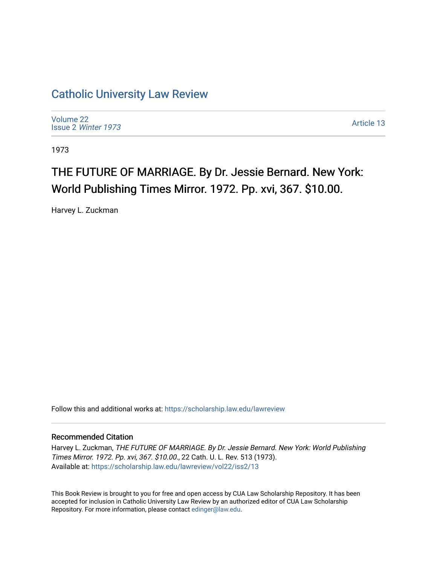### [Catholic University Law Review](https://scholarship.law.edu/lawreview)

[Volume 22](https://scholarship.law.edu/lawreview/vol22) Issue 2 [Winter 1973](https://scholarship.law.edu/lawreview/vol22/iss2) 

[Article 13](https://scholarship.law.edu/lawreview/vol22/iss2/13) 

1973

## THE FUTURE OF MARRIAGE. By Dr. Jessie Bernard. New York: World Publishing Times Mirror. 1972. Pp. xvi, 367. \$10.00.

Harvey L. Zuckman

Follow this and additional works at: [https://scholarship.law.edu/lawreview](https://scholarship.law.edu/lawreview?utm_source=scholarship.law.edu%2Flawreview%2Fvol22%2Fiss2%2F13&utm_medium=PDF&utm_campaign=PDFCoverPages)

#### Recommended Citation

Harvey L. Zuckman, THE FUTURE OF MARRIAGE. By Dr. Jessie Bernard. New York: World Publishing Times Mirror. 1972. Pp. xvi, 367. \$10.00., 22 Cath. U. L. Rev. 513 (1973). Available at: [https://scholarship.law.edu/lawreview/vol22/iss2/13](https://scholarship.law.edu/lawreview/vol22/iss2/13?utm_source=scholarship.law.edu%2Flawreview%2Fvol22%2Fiss2%2F13&utm_medium=PDF&utm_campaign=PDFCoverPages) 

This Book Review is brought to you for free and open access by CUA Law Scholarship Repository. It has been accepted for inclusion in Catholic University Law Review by an authorized editor of CUA Law Scholarship Repository. For more information, please contact [edinger@law.edu.](mailto:edinger@law.edu)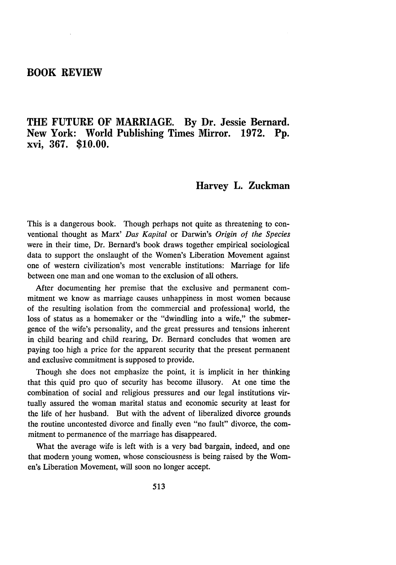#### **BOOK REVIEW**

#### **THE FUTURE OF MARRIAGE. By Dr. Jessie Bernard. New York: World Publishing Times Mirror. 1972. Pp. xvi, 367. \$10.00.**

#### **Harvey L. Zuckman**

This is a dangerous book. Though perhaps not quite as threatening to conventional thought as Marx' *Das Kapital* or Darwin's *Origin of the Species* were in their time, Dr. Bernard's book draws together empirical sociological data to support the onslaught of the Women's Liberation Movement against one of western civilization's most venerable institutions: Marriage for life between one man and one woman to the exclusion of all others.

After documenting her premise that the exclusive and permanent commitment we know as marriage causes unhappiness in most women because of the resulting isolation from the commercial and professional world, the loss of status as a homemaker or the "dwindling into a wife," the submergence of the wife's personality, and the great pressures and tensions inherent in child bearing and child rearing, Dr. Bernard concludes that women are paying too high a price for the apparent security that the present permanent and exclusive commitment is supposed to provide.

Though she does not emphasize the point, it is implicit in her thinking that this quid pro quo of security has become illusory. At one time the combination of social and religious pressures and our legal institutions virtually assured the woman marital status and economic security at least for the life of her husband. But with the advent of liberalized divorce grounds the routine uncontested divorce and finally even "no fault" divorce, the commitment to permanence of the marriage has disappeared.

What the average wife is left with is a very bad bargain, indeed, and one that modem young women, whose consciousness is being raised by the Women's Liberation Movement, will soon no longer accept.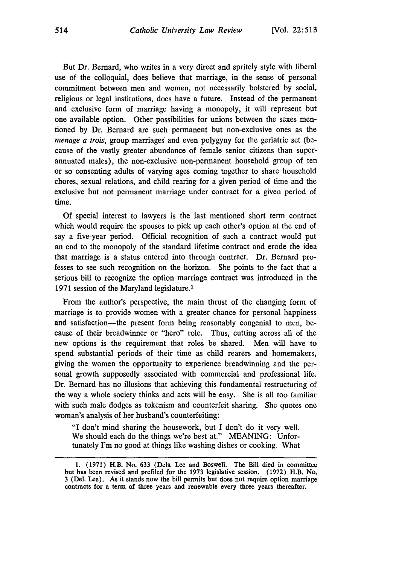But Dr. Bernard, who writes in a very direct and spritely style with liberal use of the colloquial, does believe that marriage, in the sense of personal commitment between men and women, not necessarily bolstered by social, religious or legal institutions, does have a future. Instead of the permanent and exclusive form of marriage having a monopoly, it will represent but one available option. Other possibilities for unions between the sexes mentioned by Dr. Bernard are such permanent but non-exclusive ones as the *menage a trois,* group marriages and even polygyny for the geriatric set (because of the vastly greater abundance of female senior citizens than superannuated males), the non-exclusive non-permanent household group of ten or so consenting adults of varying ages coming together to share household chores, sexual relations, and child rearing for a given period of time and the exclusive but not permanent marriage under contract for a given period of time.

Of special interest to lawyers is the last mentioned short term contract which would require the spouses to pick up each other's option at the end of say a five-year period. Official recognition of such a contract would put an end to the monopoly of the standard lifetime contract and erode the idea that marriage is a status entered into through contract. Dr. Bernard professes to see such recognition on the horizon. She points to the fact that a serious bill to recognize the option marriage contract was introduced in the 1971 session of the Maryland legislature.'

From the author's perspective, the main thrust of the changing form of marriage is to provide women with a greater chance for personal happiness and satisfaction—the present form being reasonably congenial to men, because of their breadwinner or "hero" role. Thus, cutting across all of the new options is the requirement that roles be shared. Men will have to spend substantial periods of their time as child rearers and homemakers, giving the women the opportunity to experience breadwinning and the personal growth supposedly associated with commercial and professional life. Dr. Bernard has no illusions that achieving this fundamental restructuring of the way a whole society thinks and acts will be easy. She is all too familiar with such male dodges as tokenism and counterfeit sharing. She quotes one woman's analysis of her husband's counterfeiting:

"I don't mind sharing the housework, but I don't do it very well. We should each do the things we're best at." MEANING: Unfortunately I'm no good at things like washing dishes or cooking. What

**<sup>1. (1971)</sup>** H.B. No. **633** (Dels. Lee and Boswell. The Bill died in committee but has been revised and prefiled for the **1973** legislative session. **(1972)** H.B. No. **3** (Del. Lee). As it stands now the bill permits but does not require option marriage **contracts for a term of** three **years and renewable** every **three** years thereafter.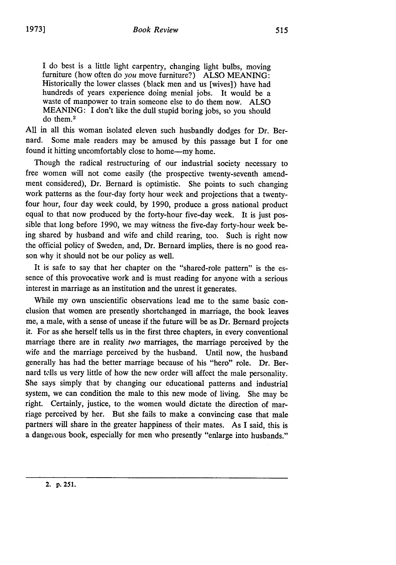I do best is a little light carpentry, changing light bulbs, moving furniture (how often do *you* move furniture?) ALSO MEANING: Historically the lower classes (black men and us [wives]) have had hundreds of years experience doing menial jobs. It would be a waste of manpower to train someone else to do them now. ALSO MEANING: I don't like the dull stupid boring jobs, so you should do them. <sup>2</sup>

**All** in all this woman isolated eleven such husbandly dodges for Dr. Bernard. Some male readers may be amused by this passage but I for one found it hitting uncomfortably close to home-my home.

Though the radical restructuring of our industrial society necessary to free women will not come easily (the prospective twenty-seventh amendment considered), Dr. Bernard is optimistic. She points to such changing work patterns as the four-day forty hour week and projections that a twentyfour hour, four day week could, by 1990, produce a gross national product equal to that now produced by the forty-hour five-day week. It is just possible that long before 1990, we may witness the five-day forty-hour week being shared by husband and wife and child rearing, too. Such is right now the official policy of Sweden, and, Dr. Bernard implies, there is no good reason why it should not be our policy as well.

It is safe to say that her chapter on the "shared-role pattern" is the essence of this provocative work and is must reading for anyone with a serious interest in marriage as an institution and the unrest it generates.

While my own unscientific observations lead me to the same basic conclusion that women are presently shortchanged in marriage, the book leaves me, a male, with a sense of unease if the future will be as Dr. Bernard projects it. For as she herself tells us in the first three chapters, in every conventional marriage there are in reality *two* marriages, the marriage perceived by the wife and the marriage perceived by the husband. Until now, the husband generally has had the better marriage because of his "hero" role. Dr. Bernard tolls us very little of how the new order will affect the male personality. She says simply that by changing our educational patterns and industrial system, we can condition the male to this new mode of living. She may be right. Certainly, justice, to the women would dictate the direction of marriage perceived by her. But she fails to make a convincing case that male partners will share in the greater happiness of their mates. As I said, this is a dangerous book, especially for men who presently "enlarge into husbands."